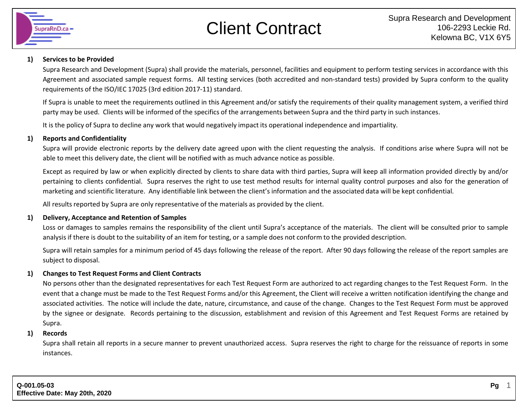

# Client Contract

#### **1) Services to be Provided**

Supra Research and Development (Supra) shall provide the materials, personnel, facilities and equipment to perform testing services in accordance with this Agreement and associated sample request forms. All testing services (both accredited and non-standard tests) provided by Supra conform to the quality requirements of the ISO/IEC 17025 (3rd edition 2017-11) standard.

If Supra is unable to meet the requirements outlined in this Agreement and/or satisfy the requirements of their quality management system, a verified third party may be used. Clients will be informed of the specifics of the arrangements between Supra and the third party in such instances.

It is the policy of Supra to decline any work that would negatively impact its operational independence and impartiality.

## **1) Reports and Confidentiality**

Supra will provide electronic reports by the delivery date agreed upon with the client requesting the analysis. If conditions arise where Supra will not be able to meet this delivery date, the client will be notified with as much advance notice as possible.

Except as required by law or when explicitly directed by clients to share data with third parties, Supra will keep all information provided directly by and/or pertaining to clients confidential. Supra reserves the right to use test method results for internal quality control purposes and also for the generation of marketing and scientific literature. Any identifiable link between the client's information and the associated data will be kept confidential.

All results reported by Supra are only representative of the materials as provided by the client.

### **1) Delivery, Acceptance and Retention of Samples**

Loss or damages to samples remains the responsibility of the client until Supra's acceptance of the materials. The client will be consulted prior to sample analysis if there is doubt to the suitability of an item for testing, or a sample does not conform to the provided description.

Supra will retain samples for a minimum period of 45 days following the release of the report. After 90 days following the release of the report samples are subject to disposal.

### **1) Changes to Test Request Forms and Client Contracts**

No persons other than the designated representatives for each Test Request Form are authorized to act regarding changes to the Test Request Form. In the event that a change must be made to the Test Request Forms and/or this Agreement, the Client will receive a written notification identifying the change and associated activities. The notice will include the date, nature, circumstance, and cause of the change. Changes to the Test Request Form must be approved by the signee or designate. Records pertaining to the discussion, establishment and revision of this Agreement and Test Request Forms are retained by Supra.

### **1) Records**

Supra shall retain all reports in a secure manner to prevent unauthorized access. Supra reserves the right to charge for the reissuance of reports in some instances.

1